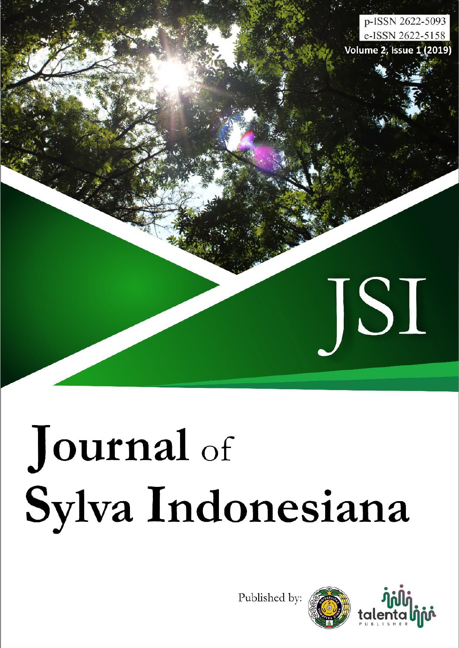

# Journal of Sylva Indonesiana

Published by:



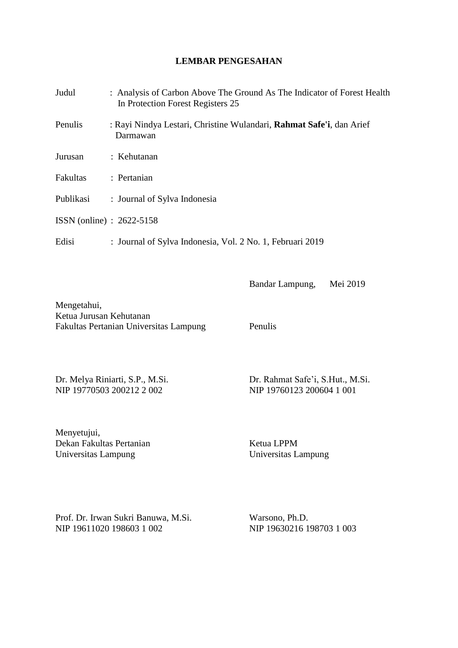#### **LEMBAR PENGESAHAN**

| Judul                       | : Analysis of Carbon Above The Ground As The Indicator of Forest Health<br>In Protection Forest Registers 25 |
|-----------------------------|--------------------------------------------------------------------------------------------------------------|
| Penulis                     | : Rayi Nindya Lestari, Christine Wulandari, Rahmat Safe'i, dan Arief<br>Darmawan                             |
| Jurusan                     | : Kehutanan                                                                                                  |
| Fakultas                    | : Pertanian                                                                                                  |
| Publikasi                   | : Journal of Sylva Indonesia                                                                                 |
| $ISSN$ (online) : 2622-5158 |                                                                                                              |
| Edisi                       | : Journal of Sylva Indonesia, Vol. 2 No. 1, Februari 2019                                                    |

Mengetahui, Ketua Jurusan Kehutanan Fakultas Pertanian Universitas Lampung Penulis

NIP 19770503 200212 2 002 NIP 19760123 200604 1 001

Dr. Melya Riniarti, S.P., M.Si. Dr. Rahmat Safe'i, S.Hut., M.Si.

Bandar Lampung, Mei 2019

Menyetujui, Dekan Fakultas Pertanian Ketua LPPM<br>
Universitas Lampung Chiversitas Lampung Universitas Lampung

Prof. Dr. Irwan Sukri Banuwa, M.Si. Warsono, Ph.D. NIP 19611020 198603 1 002 NIP 19630216 198703 1 003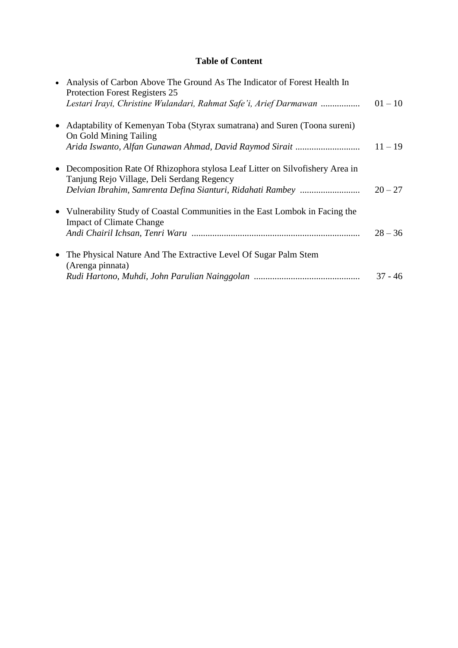#### **Table of Content**

| $\bullet$ | Analysis of Carbon Above The Ground As The Indicator of Forest Health In<br>Protection Forest Registers 25                   |           |
|-----------|------------------------------------------------------------------------------------------------------------------------------|-----------|
|           | Lestari Irayi, Christine Wulandari, Rahmat Safe'i, Arief Darmawan                                                            | $01 - 10$ |
|           | • Adaptability of Kemenyan Toba (Styrax sumatrana) and Suren (Toona sureni)<br>On Gold Mining Tailing                        |           |
|           |                                                                                                                              | $11 - 19$ |
|           | • Decomposition Rate Of Rhizophora stylosa Leaf Litter on Silvofishery Area in<br>Tanjung Rejo Village, Deli Serdang Regency |           |
|           |                                                                                                                              | $20 - 27$ |
|           | • Vulnerability Study of Coastal Communities in the East Lombok in Facing the<br><b>Impact of Climate Change</b>             |           |
|           |                                                                                                                              | $28 - 36$ |
|           | • The Physical Nature And The Extractive Level Of Sugar Palm Stem<br>(Arenga pinnata)                                        | $37 - 46$ |
|           |                                                                                                                              |           |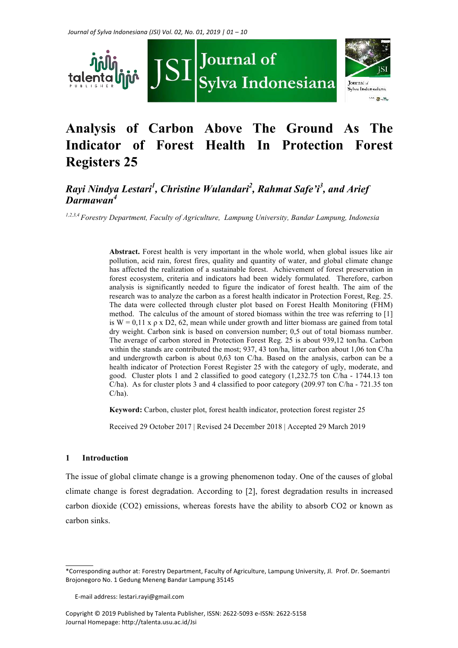

## .<br>Sylva Indonesiana **Now the State**

### **Analysis of Carbon Above The Ground As The Indicator of Forest Health In Protection Forest Registers 25**

#### *Rayi Nindya Lestari<sup>1</sup> , Christine Wulandari<sup>2</sup> , Rahmat Safe'i<sup>3</sup> , and Arief Darmawan<sup>4</sup>*

*1,2,3,4 Forestry Department, Faculty of Agriculture, Lampung University, Bandar Lampung, Indonesia*

**Abstract.** Forest health is very important in the whole world, when global issues like air pollution, acid rain, forest fires, quality and quantity of water, and global climate change has affected the realization of a sustainable forest. Achievement of forest preservation in forest ecosystem, criteria and indicators had been widely formulated. Therefore, carbon analysis is significantly needed to figure the indicator of forest health. The aim of the research was to analyze the carbon as a forest health indicator in Protection Forest, Reg. 25. The data were collected through cluster plot based on Forest Health Monitoring (FHM) method. The calculus of the amount of stored biomass within the tree was referring to [1] is  $W = 0.11$  x  $\rho$  x D2, 62, mean while under growth and litter biomass are gained from total dry weight. Carbon sink is based on conversion number; 0,5 out of total biomass number. The average of carbon stored in Protection Forest Reg. 25 is about 939,12 ton/ha. Carbon within the stands are contributed the most; 937, 43 ton/ha, litter carbon about 1,06 ton C/ha and undergrowth carbon is about 0,63 ton C/ha. Based on the analysis, carbon can be a health indicator of Protection Forest Register 25 with the category of ugly, moderate, and good. Cluster plots 1 and 2 classified to good category (1,232.75 ton C/ha - 1744.13 ton C/ha). As for cluster plots 3 and 4 classified to poor category (209.97 ton C/ha - 721.35 ton C/ha).

**Keyword:** Carbon, cluster plot, forest health indicator, protection forest register 25

Received 29 October 2017 | Revised 24 December 2018 | Accepted 29 March 2019

#### **1 Introduction**

The issue of global climate change is a growing phenomenon today. One of the causes of global climate change is forest degradation. According to [2], forest degradation results in increased carbon dioxide (CO2) emissions, whereas forests have the ability to absorb CO2 or known as carbon sinks.

<sup>\*</sup>Corresponding author at: Forestry Department, Faculty of Agriculture, Lampung University, Jl. Prof. Dr. Soemantri Brojonegoro No. 1 Gedung Meneng Bandar Lampung 35145

E-mail address: lestari.rayi@gmail.com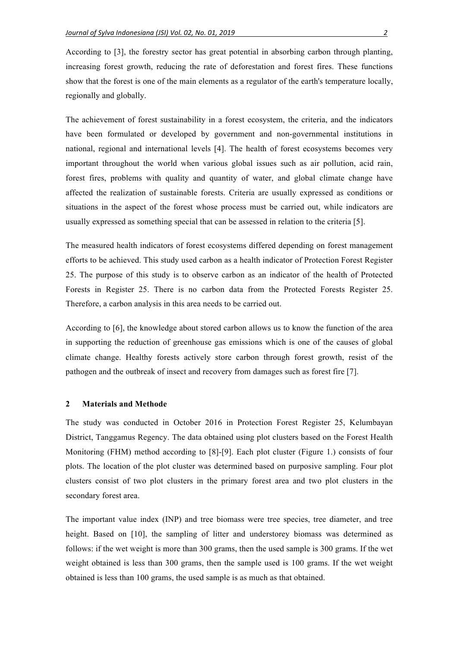According to [3], the forestry sector has great potential in absorbing carbon through planting, increasing forest growth, reducing the rate of deforestation and forest fires. These functions show that the forest is one of the main elements as a regulator of the earth's temperature locally, regionally and globally.

The achievement of forest sustainability in a forest ecosystem, the criteria, and the indicators have been formulated or developed by government and non-governmental institutions in national, regional and international levels [4]. The health of forest ecosystems becomes very important throughout the world when various global issues such as air pollution, acid rain, forest fires, problems with quality and quantity of water, and global climate change have affected the realization of sustainable forests. Criteria are usually expressed as conditions or situations in the aspect of the forest whose process must be carried out, while indicators are usually expressed as something special that can be assessed in relation to the criteria [5].

The measured health indicators of forest ecosystems differed depending on forest management efforts to be achieved. This study used carbon as a health indicator of Protection Forest Register 25. The purpose of this study is to observe carbon as an indicator of the health of Protected Forests in Register 25. There is no carbon data from the Protected Forests Register 25. Therefore, a carbon analysis in this area needs to be carried out.

According to [6], the knowledge about stored carbon allows us to know the function of the area in supporting the reduction of greenhouse gas emissions which is one of the causes of global climate change. Healthy forests actively store carbon through forest growth, resist of the pathogen and the outbreak of insect and recovery from damages such as forest fire [7].

#### **2 Materials and Methode**

The study was conducted in October 2016 in Protection Forest Register 25, Kelumbayan District, Tanggamus Regency. The data obtained using plot clusters based on the Forest Health Monitoring (FHM) method according to [8]-[9]. Each plot cluster (Figure 1.) consists of four plots. The location of the plot cluster was determined based on purposive sampling. Four plot clusters consist of two plot clusters in the primary forest area and two plot clusters in the secondary forest area.

The important value index (INP) and tree biomass were tree species, tree diameter, and tree height. Based on [10], the sampling of litter and understorey biomass was determined as follows: if the wet weight is more than 300 grams, then the used sample is 300 grams. If the wet weight obtained is less than 300 grams, then the sample used is 100 grams. If the wet weight obtained is less than 100 grams, the used sample is as much as that obtained.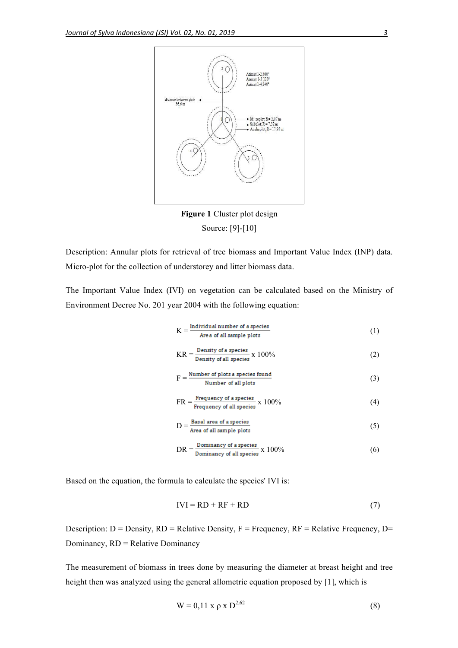

**Figure 1** Cluster plot design Source: [9]-[10]

Description: Annular plots for retrieval of tree biomass and Important Value Index (INP) data. Micro-plot for the collection of understorey and litter biomass data.

The Important Value Index (IVI) on vegetation can be calculated based on the Ministry of Environment Decree No. 201 year 2004 with the following equation:

$$
K = \frac{Individual number of a species}{Area of all sample plots}
$$
 (1)

$$
KR = \frac{Density \text{ of a species}}{Density \text{ of all species}} \times 100\%
$$
 (2)

$$
F = \frac{\text{Number of plots a species found}}{\text{Number of all plots}} \tag{3}
$$

$$
FR = \frac{Frequency \text{ of a species}}{Frequency \text{ of all species}} \times 100\%
$$
 (4)

$$
D = \frac{\text{Basal area of a species}}{\text{Area of all sample plots}} \tag{5}
$$

$$
DR = \frac{Domainacy \ of \ a \ species}{Domainacy \ of \ all \ species} \ x \ 100\%
$$
 (6)

Based on the equation, the formula to calculate the species' IVI is:

$$
IVI = RD + RF + RD \tag{7}
$$

Description:  $D = Density$ ,  $RD = Relative Density$ ,  $F = Frequency$ ,  $RF = Relative Frequency$ ,  $D =$ Dominancy, RD = Relative Dominancy

The measurement of biomass in trees done by measuring the diameter at breast height and tree height then was analyzed using the general allometric equation proposed by [1], which is

$$
W = 0.11 \times \rho \times D^{2.62}
$$
 (8)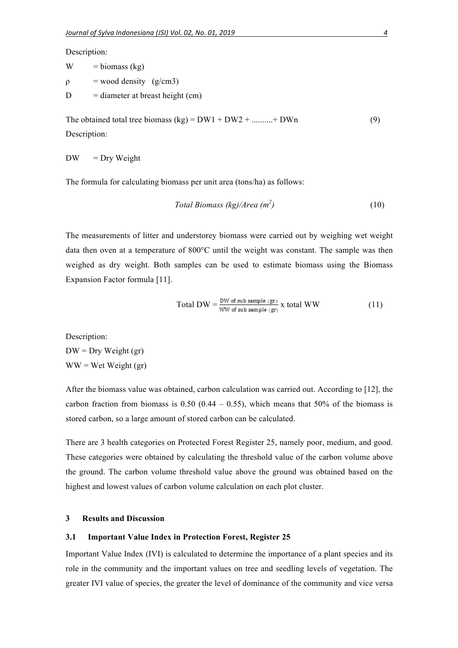Description:

| W | $=$ biomass (kg)                   |
|---|------------------------------------|
| ρ | $=$ wood density (g/cm3)           |
| D | $=$ diameter at breast height (cm) |

The obtained total tree biomass  $(kg) = DW1 + DW2 + \dots + DWn$  (9) Description:

 $DW = Dry Weight$ 

The formula for calculating biomass per unit area (tons/ha) as follows:

$$
Total \, \textit{Biomass (kg)}/\textit{Area (m}^2)
$$
\n(10)

The measurements of litter and understorey biomass were carried out by weighing wet weight data then oven at a temperature of 800°C until the weight was constant. The sample was then weighed as dry weight. Both samples can be used to estimate biomass using the Biomass Expansion Factor formula [11].

Total DW = 
$$
\frac{\text{DW of sub sample (gr)}}{\text{WW of sub sample (gr)}}
$$
 x total WW (11)

Description:

 $DW = Dry Weight (gr)$  $WW = Wet Weight (gr)$ 

After the biomass value was obtained, carbon calculation was carried out. According to [12], the carbon fraction from biomass is  $0.50$  ( $0.44 - 0.55$ ), which means that 50% of the biomass is stored carbon, so a large amount of stored carbon can be calculated.

There are 3 health categories on Protected Forest Register 25, namely poor, medium, and good. These categories were obtained by calculating the threshold value of the carbon volume above the ground. The carbon volume threshold value above the ground was obtained based on the highest and lowest values of carbon volume calculation on each plot cluster.

#### **3 Results and Discussion**

#### **3.1 Important Value Index in Protection Forest, Register 25**

Important Value Index (IVI) is calculated to determine the importance of a plant species and its role in the community and the important values on tree and seedling levels of vegetation. The greater IVI value of species, the greater the level of dominance of the community and vice versa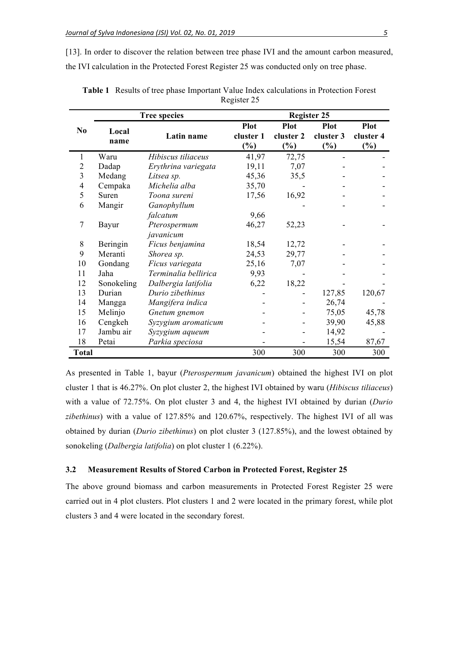[13]. In order to discover the relation between tree phase IVI and the amount carbon measured, the IVI calculation in the Protected Forest Register 25 was conducted only on tree phase.

|                |            | <b>Tree species</b>  | <b>Register 25</b> |             |             |             |
|----------------|------------|----------------------|--------------------|-------------|-------------|-------------|
| N <sub>0</sub> |            |                      | <b>Plot</b>        | <b>Plot</b> | <b>Plot</b> | <b>Plot</b> |
|                | Local      | Latin name           | cluster 1          | cluster 2   | cluster 3   | cluster 4   |
|                | name       |                      | $(\%)$             | $(\%)$      | $(\%)$      | $(\%)$      |
| 1              | Waru       | Hibiscus tiliaceus   | 41,97              | 72,75       |             |             |
| $\overline{2}$ | Dadap      | Erythrina variegata  | 19,11              | 7,07        |             |             |
| 3              | Medang     | Litsea sp.           | 45,36              | 35,5        |             |             |
| 4              | Cempaka    | Michelia alba        | 35,70              |             |             |             |
| 5              | Suren      | Toona sureni         | 17,56              | 16,92       |             |             |
| 6              | Mangir     | Ganophyllum          |                    |             |             |             |
|                |            | falcatum             | 9,66               |             |             |             |
| 7              | Bayur      | Pterospermum         | 46,27              | 52,23       |             |             |
|                |            | javanicum            |                    |             |             |             |
| 8              | Beringin   | Ficus benjamina      | 18,54              | 12,72       |             |             |
| 9              | Meranti    | Shorea sp.           | 24,53              | 29,77       |             |             |
| 10             | Gondang    | Ficus variegata      | 25,16              | 7,07        |             |             |
| 11             | Jaha       | Terminalia bellirica | 9,93               |             |             |             |
| 12             | Sonokeling | Dalbergia latifolia  | 6,22               | 18,22       |             |             |
| 13             | Durian     | Durio zibethinus     |                    |             | 127,85      | 120,67      |
| 14             | Mangga     | Mangifera indica     |                    |             | 26,74       |             |
| 15             | Melinjo    | Gnetum gnemon        |                    |             | 75,05       | 45,78       |
| 16             | Cengkeh    | Syzygium aromaticum  |                    |             | 39,90       | 45,88       |
| 17             | Jambu air  | Syzygium aqueum      |                    |             | 14,92       |             |
| 18             | Petai      | Parkia speciosa      |                    |             | 15,54       | 87,67       |
| <b>Total</b>   |            |                      | 300                | 300         | 300         | 300         |

**Table 1** Results of tree phase Important Value Index calculations in Protection Forest Register 25

As presented in Table 1, bayur (*Pterospermum javanicum*) obtained the highest IVI on plot cluster 1 that is 46.27%. On plot cluster 2, the highest IVI obtained by waru (*Hibiscus tiliaceus*) with a value of 72.75%. On plot cluster 3 and 4, the highest IVI obtained by durian (*Durio zibethinus*) with a value of 127.85% and 120.67%, respectively. The highest IVI of all was obtained by durian (*Durio zibethinus*) on plot cluster 3 (127.85%), and the lowest obtained by sonokeling (*Dalbergia latifolia*) on plot cluster 1 (6.22%).

#### **3.2 Measurement Results of Stored Carbon in Protected Forest, Register 25**

The above ground biomass and carbon measurements in Protected Forest Register 25 were carried out in 4 plot clusters. Plot clusters 1 and 2 were located in the primary forest, while plot clusters 3 and 4 were located in the secondary forest.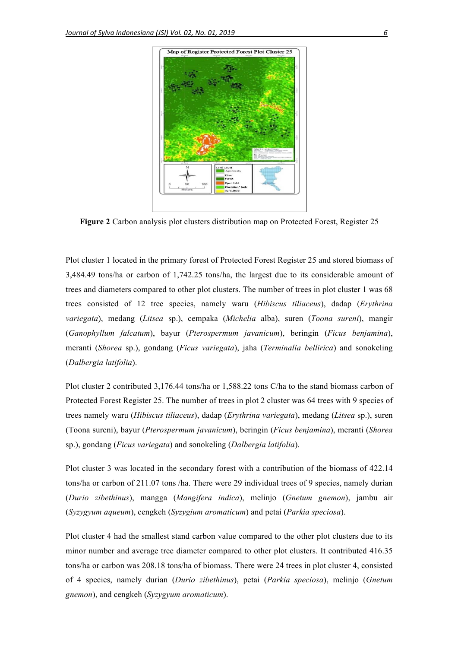

**Figure 2** Carbon analysis plot clusters distribution map on Protected Forest, Register 25

Plot cluster 1 located in the primary forest of Protected Forest Register 25 and stored biomass of 3,484.49 tons/ha or carbon of 1,742.25 tons/ha, the largest due to its considerable amount of trees and diameters compared to other plot clusters. The number of trees in plot cluster 1 was 68 trees consisted of 12 tree species, namely waru (*Hibiscus tiliaceus*), dadap (*Erythrina variegata*), medang (*Litsea* sp.), cempaka (*Michelia* alba), suren (*Toona sureni*), mangir (*Ganophyllum falcatum*), bayur (*Pterospermum javanicum*), beringin (*Ficus benjamina*), meranti (*Shorea* sp.), gondang (*Ficus variegata*), jaha (*Terminalia bellirica*) and sonokeling (*Dalbergia latifolia*).

Plot cluster 2 contributed 3,176.44 tons/ha or 1,588.22 tons C/ha to the stand biomass carbon of Protected Forest Register 25. The number of trees in plot 2 cluster was 64 trees with 9 species of trees namely waru (*Hibiscus tiliaceus*), dadap (*Erythrina variegata*), medang (*Litsea* sp.), suren (Toona sureni), bayur (*Pterospermum javanicum*), beringin (*Ficus benjamina*), meranti (*Shorea* sp.), gondang (*Ficus variegata*) and sonokeling (*Dalbergia latifolia*).

Plot cluster 3 was located in the secondary forest with a contribution of the biomass of 422.14 tons/ha or carbon of 211.07 tons /ha. There were 29 individual trees of 9 species, namely durian (*Durio zibethinus*), mangga (*Mangifera indica*), melinjo (*Gnetum gnemon*), jambu air (*Syzygyum aqueum*), cengkeh (*Syzygium aromaticum*) and petai (*Parkia speciosa*).

Plot cluster 4 had the smallest stand carbon value compared to the other plot clusters due to its minor number and average tree diameter compared to other plot clusters. It contributed 416.35 tons/ha or carbon was 208.18 tons/ha of biomass. There were 24 trees in plot cluster 4, consisted of 4 species, namely durian (*Durio zibethinus*), petai (*Parkia speciosa*), melinjo (*Gnetum gnemon*), and cengkeh (*Syzygyum aromaticum*).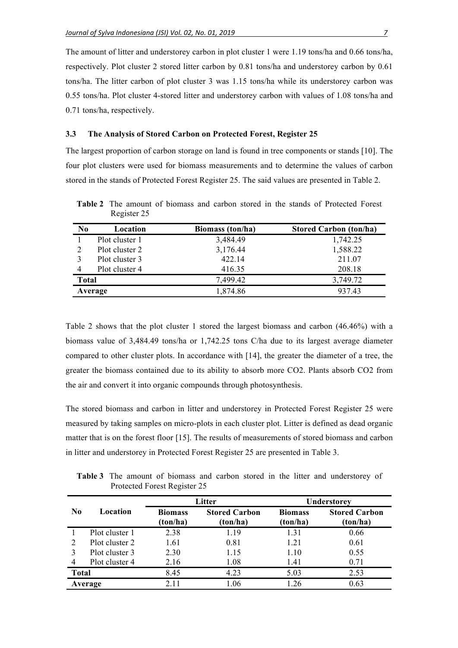The amount of litter and understorey carbon in plot cluster 1 were 1.19 tons/ha and 0.66 tons/ha, respectively. Plot cluster 2 stored litter carbon by 0.81 tons/ha and understorey carbon by 0.61 tons/ha. The litter carbon of plot cluster 3 was 1.15 tons/ha while its understorey carbon was 0.55 tons/ha. Plot cluster 4-stored litter and understorey carbon with values of 1.08 tons/ha and 0.71 tons/ha, respectively.

#### **3.3 The Analysis of Stored Carbon on Protected Forest, Register 25**

The largest proportion of carbon storage on land is found in tree components or stands [10]. The four plot clusters were used for biomass measurements and to determine the values of carbon stored in the stands of Protected Forest Register 25. The said values are presented in Table 2.

| N <sub>0</sub> | Location       | <b>Biomass</b> (ton/ha) | <b>Stored Carbon (ton/ha)</b> |
|----------------|----------------|-------------------------|-------------------------------|
|                | Plot cluster 1 | 3,484.49                | 1,742.25                      |
|                | Plot cluster 2 | 3,176.44                | 1,588.22                      |
|                | Plot cluster 3 | 422.14                  | 211.07                        |
| 4              | Plot cluster 4 | 416.35                  | 208.18                        |
| <b>Total</b>   |                | 7,499.42                | 3,749.72                      |
|                | Average        | 1,874.86                | 937.43                        |

**Table 2** The amount of biomass and carbon stored in the stands of Protected Forest Register 25

Table 2 shows that the plot cluster 1 stored the largest biomass and carbon (46.46%) with a biomass value of 3,484.49 tons/ha or 1,742.25 tons C/ha due to its largest average diameter compared to other cluster plots. In accordance with [14], the greater the diameter of a tree, the greater the biomass contained due to its ability to absorb more CO2. Plants absorb CO2 from the air and convert it into organic compounds through photosynthesis.

The stored biomass and carbon in litter and understorey in Protected Forest Register 25 were measured by taking samples on micro-plots in each cluster plot. Litter is defined as dead organic matter that is on the forest floor [15]. The results of measurements of stored biomass and carbon in litter and understorey in Protected Forest Register 25 are presented in Table 3.

**Table 3** The amount of biomass and carbon stored in the litter and understorey of Protected Forest Register 25

|                |                |                            | Litter                           | Understorey                |                                  |  |
|----------------|----------------|----------------------------|----------------------------------|----------------------------|----------------------------------|--|
| N <sub>0</sub> | Location       | <b>Biomass</b><br>(ton/ha) | <b>Stored Carbon</b><br>(ton/ha) | <b>Biomass</b><br>(ton/ha) | <b>Stored Carbon</b><br>(ton/ha) |  |
|                | Plot cluster 1 | 2.38                       | 1.19                             | 1.31                       | 0.66                             |  |
|                | Plot cluster 2 | 1.61                       | 0.81                             | 1.21                       | 0.61                             |  |
|                | Plot cluster 3 | 2.30                       | 1.15                             | 1.10                       | 0.55                             |  |
| 4              | Plot cluster 4 | 2.16                       | 1.08                             | 1.41                       | 0.71                             |  |
| <b>Total</b>   |                | 8.45                       | 4.23                             | 5.03                       | 2.53                             |  |
|                | Average        | 2.11                       | 1.06                             | 1 26                       | 0.63                             |  |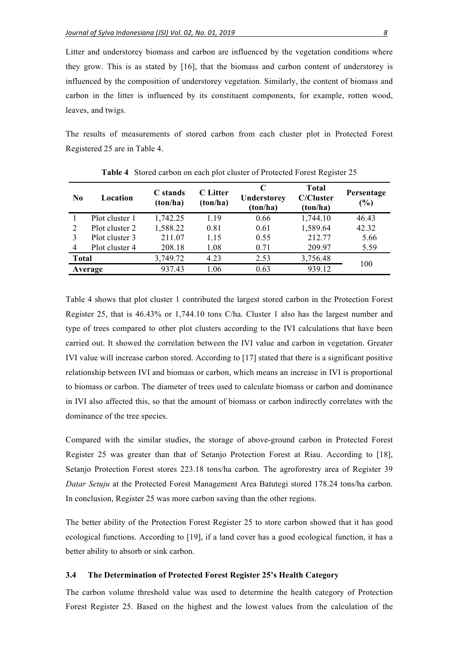Litter and understorey biomass and carbon are influenced by the vegetation conditions where they grow. This is as stated by [16], that the biomass and carbon content of understorey is influenced by the composition of understorey vegetation. Similarly, the content of biomass and carbon in the litter is influenced by its constituent components, for example, rotten wood, leaves, and twigs.

The results of measurements of stored carbon from each cluster plot in Protected Forest Registered 25 are in Table 4.

| $\bf N_0$      | Location       | C stands<br>(ton/ha) | <b>C</b> Litter<br>(ton/ha) | C<br>Understorey<br>(ton/ha) | <b>Total</b><br><b>C/Cluster</b><br>(ton/ha) | Persentage<br>(%) |
|----------------|----------------|----------------------|-----------------------------|------------------------------|----------------------------------------------|-------------------|
|                | Plot cluster 1 | 1,742.25             | 1.19                        | 0.66                         | 1,744.10                                     | 46.43             |
| $\overline{2}$ | Plot cluster 2 | 1,588.22             | 0.81                        | 0.61                         | 1,589.64                                     | 42.32             |
| 3              | Plot cluster 3 | 211.07               | 1.15                        | 0.55                         | 212.77                                       | 5.66              |
| 4              | Plot cluster 4 | 208.18               | 1.08                        | 0.71                         | 209.97                                       | 5.59              |
| <b>Total</b>   |                | 3,749.72             | 4.23                        | 2.53                         | 3,756.48                                     |                   |
|                | Average        | 937.43               | 1.06                        | 0.63                         | 939.12                                       | 100               |

**Table 4** Stored carbon on each plot cluster of Protected Forest Register 25

Table 4 shows that plot cluster 1 contributed the largest stored carbon in the Protection Forest Register 25, that is 46.43% or 1,744.10 tons C/ha. Cluster 1 also has the largest number and type of trees compared to other plot clusters according to the IVI calculations that have been carried out. It showed the correlation between the IVI value and carbon in vegetation. Greater IVI value will increase carbon stored. According to [17] stated that there is a significant positive relationship between IVI and biomass or carbon, which means an increase in IVI is proportional to biomass or carbon. The diameter of trees used to calculate biomass or carbon and dominance in IVI also affected this, so that the amount of biomass or carbon indirectly correlates with the dominance of the tree species.

Compared with the similar studies, the storage of above-ground carbon in Protected Forest Register 25 was greater than that of Setanjo Protection Forest at Riau. According to [18], Setanjo Protection Forest stores 223.18 tons/ha carbon. The agroforestry area of Register 39 *Datar Setuju* at the Protected Forest Management Area Batutegi stored 178.24 tons/ha carbon. In conclusion, Register 25 was more carbon saving than the other regions.

The better ability of the Protection Forest Register 25 to store carbon showed that it has good ecological functions. According to [19], if a land cover has a good ecological function, it has a better ability to absorb or sink carbon.

#### **3.4 The Determination of Protected Forest Register 25's Health Category**

The carbon volume threshold value was used to determine the health category of Protection Forest Register 25. Based on the highest and the lowest values from the calculation of the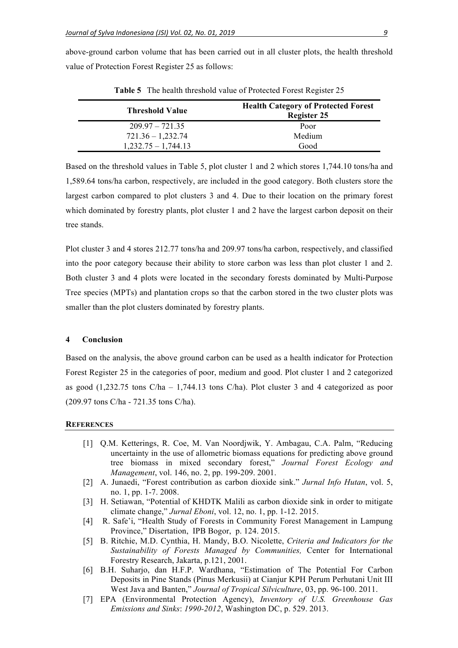above-ground carbon volume that has been carried out in all cluster plots, the health threshold value of Protection Forest Register 25 as follows:

| <b>Threshold Value</b> | <b>Health Category of Protected Forest</b><br><b>Register 25</b> |
|------------------------|------------------------------------------------------------------|
| $209.97 - 721.35$      | Poor                                                             |
| $721.36 - 1,232.74$    | Medium                                                           |
| $1,232.75 - 1,744.13$  | Good                                                             |

**Table 5** The health threshold value of Protected Forest Register 25

Based on the threshold values in Table 5, plot cluster 1 and 2 which stores 1,744.10 tons/ha and 1,589.64 tons/ha carbon, respectively, are included in the good category. Both clusters store the largest carbon compared to plot clusters 3 and 4. Due to their location on the primary forest which dominated by forestry plants, plot cluster 1 and 2 have the largest carbon deposit on their tree stands.

Plot cluster 3 and 4 stores 212.77 tons/ha and 209.97 tons/ha carbon, respectively, and classified into the poor category because their ability to store carbon was less than plot cluster 1 and 2. Both cluster 3 and 4 plots were located in the secondary forests dominated by Multi-Purpose Tree species (MPTs) and plantation crops so that the carbon stored in the two cluster plots was smaller than the plot clusters dominated by forestry plants.

#### **4 Conclusion**

Based on the analysis, the above ground carbon can be used as a health indicator for Protection Forest Register 25 in the categories of poor, medium and good. Plot cluster 1 and 2 categorized as good  $(1,232.75 \text{ tons C/ha} - 1,744.13 \text{ tons C/ha})$ . Plot cluster 3 and 4 categorized as poor (209.97 tons C/ha - 721.35 tons C/ha).

#### **REFERENCES**

- [1] Q.M. Ketterings, R. Coe, M. Van Noordjwik, Y. Ambagau, C.A. Palm, "Reducing uncertainty in the use of allometric biomass equations for predicting above ground tree biomass in mixed secondary forest," *Journal Forest Ecology and Management*, vol. 146, no. 2, pp. 199-209. 2001.
- [2] A. Junaedi, "Forest contribution as carbon dioxide sink." *Jurnal Info Hutan*, vol. 5, no. 1, pp. 1-7. 2008.
- [3] H. Setiawan, "Potential of KHDTK Malili as carbon dioxide sink in order to mitigate climate change," *Jurnal Eboni*, vol. 12, no. 1, pp. 1-12. 2015.
- [4] R. Safe'i, "Health Study of Forests in Community Forest Management in Lampung Province," Disertation, IPB Bogor, p. 124. 2015.
- [5] B. Ritchie, M.D. Cynthia, H. Mandy, B.O. Nicolette, *Criteria and Indicators for the Sustainability of Forests Managed by Communities,* Center for International Forestry Research, Jakarta, p.121, 2001.
- [6] B.H. Suharjo, dan H.F.P. Wardhana, "Estimation of The Potential For Carbon Deposits in Pine Stands (Pinus Merkusii) at Cianjur KPH Perum Perhutani Unit III West Java and Banten," *Journal of Tropical Silviculture*, 03, pp. 96-100. 2011.
- [7] EPA (Environmental Protection Agency), *Inventory of U.S. Greenhouse Gas Emissions and Sinks*: *1990-2012*, Washington DC, p. 529. 2013.